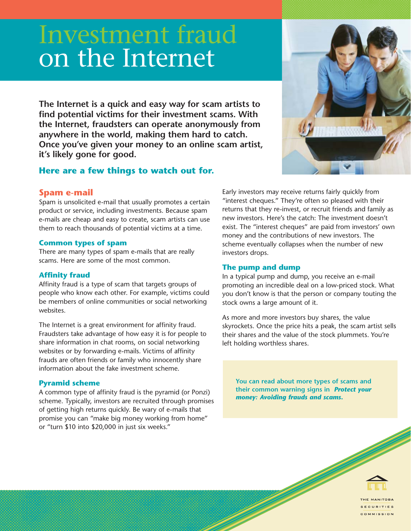# Investment fraud on the Internet

**The Internet is a quick and easy way for scam artists to find potential victims for their investment scams. With the Internet, fraudsters can operate anonymously from anywhere in the world, making them hard to catch. Once you've given your money to an online scam artist, it's likely gone for good.**

# **Here are a few things to watch out for.**

## **Spam e-mail**

Spam is unsolicited e-mail that usually promotes a certain product or service, including investments. Because spam e-mails are cheap and easy to create, scam artists can use them to reach thousands of potential victims at a time.

#### **Common types of spam**

There are many types of spam e-mails that are really scams. Here are some of the most common.

## **Affinity fraud**

Affinity fraud is a type of scam that targets groups of people who know each other. For example, victims could be members of online communities or social networking websites.

The Internet is a great environment for affinity fraud. Fraudsters take advantage of how easy it is for people to share information in chat rooms, on social networking websites or by forwarding e-mails. Victims of affinity frauds are often friends or family who innocently share information about the fake investment scheme.

# **Pyramid scheme**

A common type of affinity fraud is the pyramid (or Ponzi) scheme. Typically, investors are recruited through promises of getting high returns quickly. Be wary of e-mails that promise you can "make big money working from home" or "turn \$10 into \$20,000 in just six weeks."

Early investors may receive returns fairly quickly from "interest cheques." They're often so pleased with their returns that they re-invest, or recruit friends and family as new investors. Here's the catch: The investment doesn't exist. The "interest cheques" are paid from investors' own money and the contributions of new investors. The scheme eventually collapses when the number of new investors drops.

## **The pump and dump**

In a typical pump and dump, you receive an e-mail promoting an incredible deal on a low-priced stock. What you don't know is that the person or company touting the stock owns a large amount of it.

As more and more investors buy shares, the value skyrockets. Once the price hits a peak, the scam artist sells their shares and the value of the stock plummets. You're left holding worthless shares.

**You can read about more types of scams and their common warning signs in** *Protect your money: Avoiding frauds and scams***.**